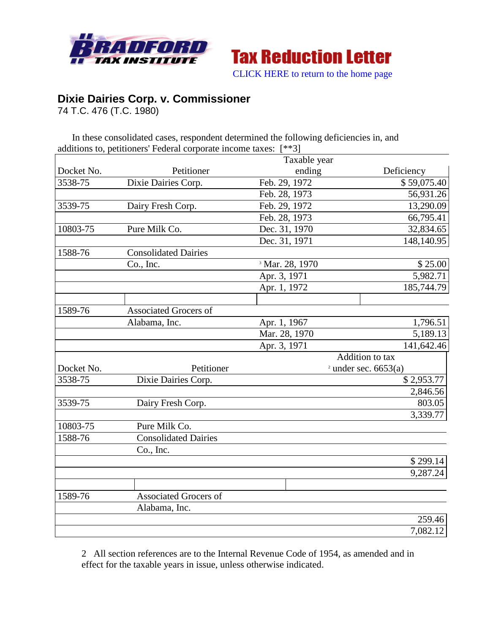



**Dixie Dairies Corp. v. Commissioner**

74 T.C. 476 (T.C. 1980)

In these consolidated cases, respondent determined the following deficiencies in, and additions to, petitioners' Federal corporate income taxes: [\*\*3]

|            |                              | Taxable year               |                        |
|------------|------------------------------|----------------------------|------------------------|
| Docket No. | Petitioner                   | ending                     | Deficiency             |
| 3538-75    | Dixie Dairies Corp.          | Feb. 29, 1972              | \$59,075.40            |
|            |                              | Feb. 28, 1973              | 56,931.26              |
| 3539-75    | Dairy Fresh Corp.            | Feb. 29, 1972              | 13,290.09              |
|            |                              | Feb. 28, 1973              | 66,795.41              |
| 10803-75   | Pure Milk Co.                | Dec. 31, 1970              | 32,834.65              |
|            |                              | Dec. 31, 1971              | 148,140.95             |
| 1588-76    | <b>Consolidated Dairies</b>  |                            |                        |
|            | Co., Inc.                    | <sup>3</sup> Mar. 28, 1970 | \$25.00                |
|            |                              | Apr. 3, 1971               | 5,982.71               |
|            |                              | Apr. 1, 1972               | 185,744.79             |
|            |                              |                            |                        |
| 1589-76    | <b>Associated Grocers of</b> |                            |                        |
|            | Alabama, Inc.                | Apr. 1, 1967               | 1,796.51               |
|            |                              | Mar. 28, 1970              | 5,189.13               |
|            |                              | Apr. 3, 1971               | 141,642.46             |
|            |                              |                            | Addition to tax        |
| Docket No. | Petitioner                   |                            | $2$ under sec. 6653(a) |
| 3538-75    | Dixie Dairies Corp.          |                            | \$2,953.77             |
|            |                              |                            | 2,846.56               |
| 3539-75    | Dairy Fresh Corp.            |                            | 803.05                 |
|            |                              |                            | 3,339.77               |
| 10803-75   | Pure Milk Co.                |                            |                        |
| 1588-76    | <b>Consolidated Dairies</b>  |                            |                        |
|            | Co., Inc.                    |                            |                        |
|            |                              |                            | \$299.14               |
|            |                              |                            | 9,287.24               |
|            |                              |                            |                        |
| 1589-76    | <b>Associated Grocers of</b> |                            |                        |
|            | Alabama, Inc.                |                            |                        |
|            |                              |                            | 259.46                 |
|            |                              |                            | 7,082.12               |

2 All section references are to the Internal Revenue Code of 1954, as amended and in effect for the taxable years in issue, unless otherwise indicated.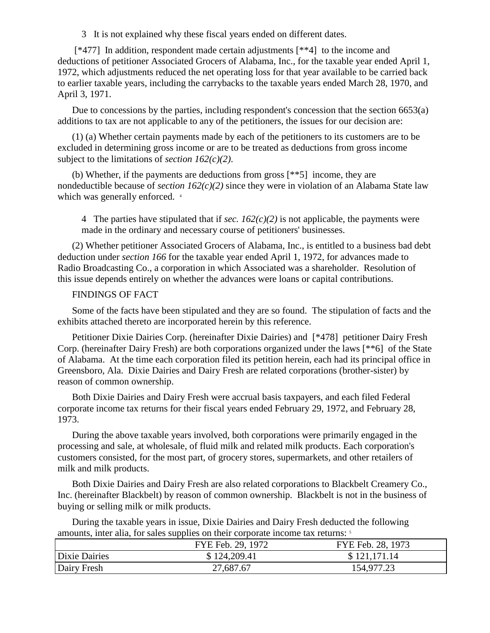3 It is not explained why these fiscal years ended on different dates.

[\*477] In addition, respondent made certain adjustments [\*\*4] to the income and deductions of petitioner Associated Grocers of Alabama, Inc., for the taxable year ended April 1, 1972, which adjustments reduced the net operating loss for that year available to be carried back to earlier taxable years, including the carrybacks to the taxable years ended March 28, 1970, and April 3, 1971.

Due to concessions by the parties, including respondent's concession that the section 6653(a) additions to tax are not applicable to any of the petitioners, the issues for our decision are:

(1) (a) Whether certain payments made by each of the petitioners to its customers are to be excluded in determining gross income or are to be treated as deductions from gross income subject to the limitations of *section 162(c)(2)*.

(b) Whether, if the payments are deductions from gross [\*\*5] income, they are nondeductible because of *section 162(c)(2)* since they were in violation of an Alabama State law which was generally enforced.  $4$ 

4 The parties have stipulated that if *sec.*  $162(c)(2)$  is not applicable, the payments were made in the ordinary and necessary course of petitioners' businesses.

(2) Whether petitioner Associated Grocers of Alabama, Inc., is entitled to a business bad debt deduction under *section 166* for the taxable year ended April 1, 1972, for advances made to Radio Broadcasting Co., a corporation in which Associated was a shareholder. Resolution of this issue depends entirely on whether the advances were loans or capital contributions.

# FINDINGS OF FACT

Some of the facts have been stipulated and they are so found. The stipulation of facts and the exhibits attached thereto are incorporated herein by this reference.

Petitioner Dixie Dairies Corp. (hereinafter Dixie Dairies) and [\*478] petitioner Dairy Fresh Corp. (hereinafter Dairy Fresh) are both corporations organized under the laws [\*\*6] of the State of Alabama. At the time each corporation filed its petition herein, each had its principal office in Greensboro, Ala. Dixie Dairies and Dairy Fresh are related corporations (brother-sister) by reason of common ownership.

Both Dixie Dairies and Dairy Fresh were accrual basis taxpayers, and each filed Federal corporate income tax returns for their fiscal years ended February 29, 1972, and February 28, 1973.

During the above taxable years involved, both corporations were primarily engaged in the processing and sale, at wholesale, of fluid milk and related milk products. Each corporation's customers consisted, for the most part, of grocery stores, supermarkets, and other retailers of milk and milk products.

Both Dixie Dairies and Dairy Fresh are also related corporations to Blackbelt Creamery Co., Inc. (hereinafter Blackbelt) by reason of common ownership. Blackbelt is not in the business of buying or selling milk or milk products.

During the taxable years in issue, Dixie Dairies and Dairy Fresh deducted the following amounts, inter alia, for sales supplies on their corporate income tax returns: <sup>5</sup>

|               | .                 |                   |
|---------------|-------------------|-------------------|
|               | FYE Feb. 29, 1972 | FYE Feb. 28, 1973 |
| Dixie Dairies | \$124,209.41      | \$121,171.14      |
| Dairy Fresh   | 27,687.67         | 154,977.23        |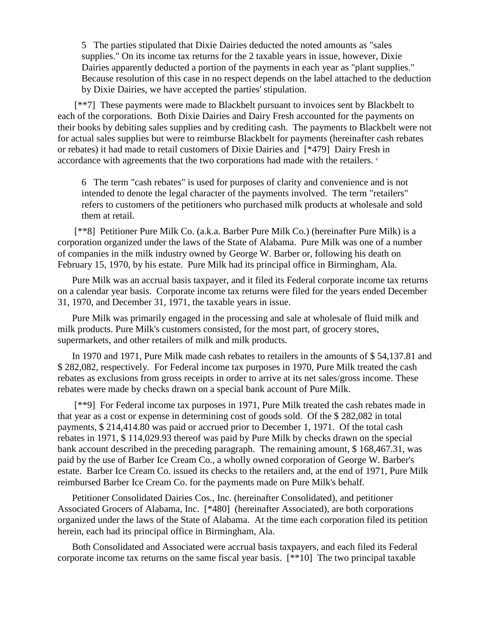5 The parties stipulated that Dixie Dairies deducted the noted amounts as "sales supplies." On its income tax returns for the 2 taxable years in issue, however, Dixie Dairies apparently deducted a portion of the payments in each year as "plant supplies." Because resolution of this case in no respect depends on the label attached to the deduction by Dixie Dairies, we have accepted the parties' stipulation.

[\*\*7] These payments were made to Blackbelt pursuant to invoices sent by Blackbelt to each of the corporations. Both Dixie Dairies and Dairy Fresh accounted for the payments on their books by debiting sales supplies and by crediting cash. The payments to Blackbelt were not for actual sales supplies but were to reimburse Blackbelt for payments (hereinafter cash rebates or rebates) it had made to retail customers of Dixie Dairies and [\*479] Dairy Fresh in accordance with agreements that the two corporations had made with the retailers.  $\epsilon$ 

6 The term "cash rebates" is used for purposes of clarity and convenience and is not intended to denote the legal character of the payments involved. The term "retailers" refers to customers of the petitioners who purchased milk products at wholesale and sold them at retail.

[\*\*8] Petitioner Pure Milk Co. (a.k.a. Barber Pure Milk Co.) (hereinafter Pure Milk) is a corporation organized under the laws of the State of Alabama. Pure Milk was one of a number of companies in the milk industry owned by George W. Barber or, following his death on February 15, 1970, by his estate. Pure Milk had its principal office in Birmingham, Ala.

Pure Milk was an accrual basis taxpayer, and it filed its Federal corporate income tax returns on a calendar year basis. Corporate income tax returns were filed for the years ended December 31, 1970, and December 31, 1971, the taxable years in issue.

Pure Milk was primarily engaged in the processing and sale at wholesale of fluid milk and milk products. Pure Milk's customers consisted, for the most part, of grocery stores, supermarkets, and other retailers of milk and milk products.

In 1970 and 1971, Pure Milk made cash rebates to retailers in the amounts of \$ 54,137.81 and \$ 282,082, respectively. For Federal income tax purposes in 1970, Pure Milk treated the cash rebates as exclusions from gross receipts in order to arrive at its net sales/gross income. These rebates were made by checks drawn on a special bank account of Pure Milk.

[\*\*9] For Federal income tax purposes in 1971, Pure Milk treated the cash rebates made in that year as a cost or expense in determining cost of goods sold. Of the \$ 282,082 in total payments, \$ 214,414.80 was paid or accrued prior to December 1, 1971. Of the total cash rebates in 1971, \$ 114,029.93 thereof was paid by Pure Milk by checks drawn on the special bank account described in the preceding paragraph. The remaining amount, \$ 168,467.31, was paid by the use of Barber Ice Cream Co., a wholly owned corporation of George W. Barber's estate. Barber Ice Cream Co. issued its checks to the retailers and, at the end of 1971, Pure Milk reimbursed Barber Ice Cream Co. for the payments made on Pure Milk's behalf.

Petitioner Consolidated Dairies Cos., Inc. (hereinafter Consolidated), and petitioner Associated Grocers of Alabama, Inc. [\*480] (hereinafter Associated), are both corporations organized under the laws of the State of Alabama. At the time each corporation filed its petition herein, each had its principal office in Birmingham, Ala.

Both Consolidated and Associated were accrual basis taxpayers, and each filed its Federal corporate income tax returns on the same fiscal year basis. [\*\*10] The two principal taxable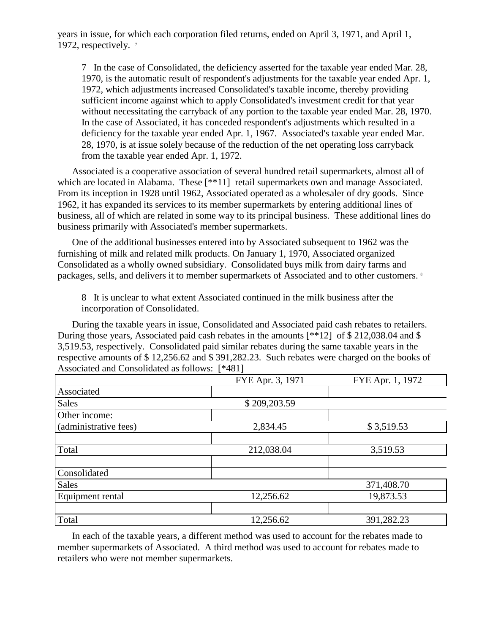years in issue, for which each corporation filed returns, ended on April 3, 1971, and April 1, 1972, respectively. <sup>7</sup>

7 In the case of Consolidated, the deficiency asserted for the taxable year ended Mar. 28, 1970, is the automatic result of respondent's adjustments for the taxable year ended Apr. 1, 1972, which adjustments increased Consolidated's taxable income, thereby providing sufficient income against which to apply Consolidated's investment credit for that year without necessitating the carryback of any portion to the taxable year ended Mar. 28, 1970. In the case of Associated, it has conceded respondent's adjustments which resulted in a deficiency for the taxable year ended Apr. 1, 1967. Associated's taxable year ended Mar. 28, 1970, is at issue solely because of the reduction of the net operating loss carryback from the taxable year ended Apr. 1, 1972.

Associated is a cooperative association of several hundred retail supermarkets, almost all of which are located in Alabama. These [\*\*11] retail supermarkets own and manage Associated. From its inception in 1928 until 1962, Associated operated as a wholesaler of dry goods. Since 1962, it has expanded its services to its member supermarkets by entering additional lines of business, all of which are related in some way to its principal business. These additional lines do business primarily with Associated's member supermarkets.

One of the additional businesses entered into by Associated subsequent to 1962 was the furnishing of milk and related milk products. On January 1, 1970, Associated organized Consolidated as a wholly owned subsidiary. Consolidated buys milk from dairy farms and packages, sells, and delivers it to member supermarkets of Associated and to other customers.<sup>8</sup>

8 It is unclear to what extent Associated continued in the milk business after the incorporation of Consolidated.

During the taxable years in issue, Consolidated and Associated paid cash rebates to retailers. During those years, Associated paid cash rebates in the amounts [\*\*12] of \$212,038.04 and \$ 3,519.53, respectively. Consolidated paid similar rebates during the same taxable years in the respective amounts of \$ 12,256.62 and \$ 391,282.23. Such rebates were charged on the books of Associated and Consolidated as follows: [\*481]

|                       | FYE Apr. 3, 1971 | FYE Apr. 1, 1972 |
|-----------------------|------------------|------------------|
| Associated            |                  |                  |
| <b>Sales</b>          | \$209,203.59     |                  |
| Other income:         |                  |                  |
| (administrative fees) | 2,834.45         | \$3,519.53       |
|                       |                  |                  |
| Total                 | 212,038.04       | 3,519.53         |
|                       |                  |                  |
| Consolidated          |                  |                  |
| <b>Sales</b>          |                  | 371,408.70       |
| Equipment rental      | 12,256.62        | 19,873.53        |
|                       |                  |                  |
| Total                 | 12,256.62        | 391,282.23       |

In each of the taxable years, a different method was used to account for the rebates made to member supermarkets of Associated. A third method was used to account for rebates made to retailers who were not member supermarkets.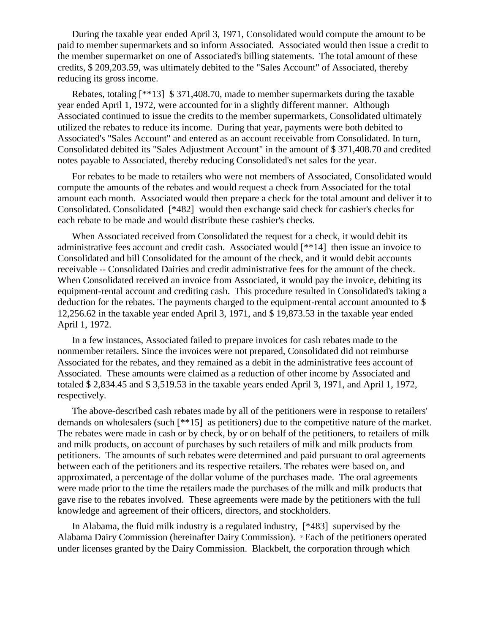During the taxable year ended April 3, 1971, Consolidated would compute the amount to be paid to member supermarkets and so inform Associated. Associated would then issue a credit to the member supermarket on one of Associated's billing statements. The total amount of these credits, \$ 209,203.59, was ultimately debited to the "Sales Account" of Associated, thereby reducing its gross income.

Rebates, totaling [\*\*13] \$ 371,408.70, made to member supermarkets during the taxable year ended April 1, 1972, were accounted for in a slightly different manner. Although Associated continued to issue the credits to the member supermarkets, Consolidated ultimately utilized the rebates to reduce its income. During that year, payments were both debited to Associated's "Sales Account" and entered as an account receivable from Consolidated. In turn, Consolidated debited its "Sales Adjustment Account" in the amount of \$ 371,408.70 and credited notes payable to Associated, thereby reducing Consolidated's net sales for the year.

For rebates to be made to retailers who were not members of Associated, Consolidated would compute the amounts of the rebates and would request a check from Associated for the total amount each month. Associated would then prepare a check for the total amount and deliver it to Consolidated. Consolidated [\*482] would then exchange said check for cashier's checks for each rebate to be made and would distribute these cashier's checks.

When Associated received from Consolidated the request for a check, it would debit its administrative fees account and credit cash. Associated would [\*\*14] then issue an invoice to Consolidated and bill Consolidated for the amount of the check, and it would debit accounts receivable -- Consolidated Dairies and credit administrative fees for the amount of the check. When Consolidated received an invoice from Associated, it would pay the invoice, debiting its equipment-rental account and crediting cash. This procedure resulted in Consolidated's taking a deduction for the rebates. The payments charged to the equipment-rental account amounted to \$ 12,256.62 in the taxable year ended April 3, 1971, and \$ 19,873.53 in the taxable year ended April 1, 1972.

In a few instances, Associated failed to prepare invoices for cash rebates made to the nonmember retailers. Since the invoices were not prepared, Consolidated did not reimburse Associated for the rebates, and they remained as a debit in the administrative fees account of Associated. These amounts were claimed as a reduction of other income by Associated and totaled \$ 2,834.45 and \$ 3,519.53 in the taxable years ended April 3, 1971, and April 1, 1972, respectively.

The above-described cash rebates made by all of the petitioners were in response to retailers' demands on wholesalers (such [\*\*15] as petitioners) due to the competitive nature of the market. The rebates were made in cash or by check, by or on behalf of the petitioners, to retailers of milk and milk products, on account of purchases by such retailers of milk and milk products from petitioners. The amounts of such rebates were determined and paid pursuant to oral agreements between each of the petitioners and its respective retailers. The rebates were based on, and approximated, a percentage of the dollar volume of the purchases made. The oral agreements were made prior to the time the retailers made the purchases of the milk and milk products that gave rise to the rebates involved. These agreements were made by the petitioners with the full knowledge and agreement of their officers, directors, and stockholders.

In Alabama, the fluid milk industry is a regulated industry, [\*483] supervised by the Alabama Dairy Commission (hereinafter Dairy Commission). <sup>9</sup> Each of the petitioners operated under licenses granted by the Dairy Commission. Blackbelt, the corporation through which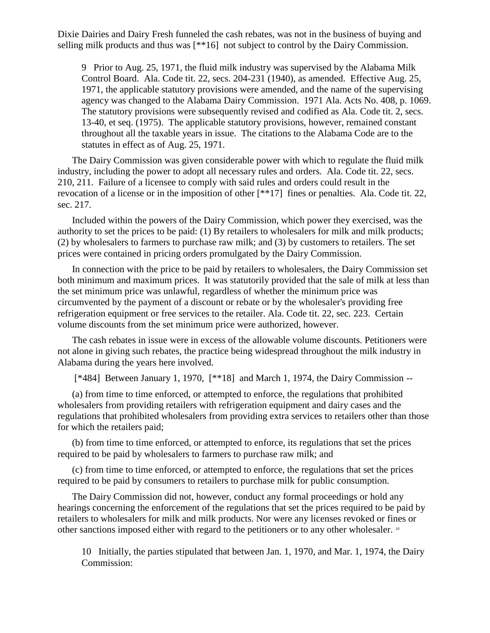Dixie Dairies and Dairy Fresh funneled the cash rebates, was not in the business of buying and selling milk products and thus was [\*\*16] not subject to control by the Dairy Commission.

9 Prior to Aug. 25, 1971, the fluid milk industry was supervised by the Alabama Milk Control Board. Ala. Code tit. 22, secs. 204-231 (1940), as amended. Effective Aug. 25, 1971, the applicable statutory provisions were amended, and the name of the supervising agency was changed to the Alabama Dairy Commission. 1971 Ala. Acts No. 408, p. 1069. The statutory provisions were subsequently revised and codified as Ala. Code tit. 2, secs. 13-40, et seq. (1975). The applicable statutory provisions, however, remained constant throughout all the taxable years in issue. The citations to the Alabama Code are to the statutes in effect as of Aug. 25, 1971.

The Dairy Commission was given considerable power with which to regulate the fluid milk industry, including the power to adopt all necessary rules and orders. Ala. Code tit. 22, secs. 210, 211. Failure of a licensee to comply with said rules and orders could result in the revocation of a license or in the imposition of other [\*\*17] fines or penalties. Ala. Code tit. 22, sec. 217.

Included within the powers of the Dairy Commission, which power they exercised, was the authority to set the prices to be paid: (1) By retailers to wholesalers for milk and milk products; (2) by wholesalers to farmers to purchase raw milk; and (3) by customers to retailers. The set prices were contained in pricing orders promulgated by the Dairy Commission.

In connection with the price to be paid by retailers to wholesalers, the Dairy Commission set both minimum and maximum prices. It was statutorily provided that the sale of milk at less than the set minimum price was unlawful, regardless of whether the minimum price was circumvented by the payment of a discount or rebate or by the wholesaler's providing free refrigeration equipment or free services to the retailer. Ala. Code tit. 22, sec. 223. Certain volume discounts from the set minimum price were authorized, however.

The cash rebates in issue were in excess of the allowable volume discounts. Petitioners were not alone in giving such rebates, the practice being widespread throughout the milk industry in Alabama during the years here involved.

[\*484] Between January 1, 1970, [\*\*18] and March 1, 1974, the Dairy Commission --

(a) from time to time enforced, or attempted to enforce, the regulations that prohibited wholesalers from providing retailers with refrigeration equipment and dairy cases and the regulations that prohibited wholesalers from providing extra services to retailers other than those for which the retailers paid;

(b) from time to time enforced, or attempted to enforce, its regulations that set the prices required to be paid by wholesalers to farmers to purchase raw milk; and

(c) from time to time enforced, or attempted to enforce, the regulations that set the prices required to be paid by consumers to retailers to purchase milk for public consumption.

The Dairy Commission did not, however, conduct any formal proceedings or hold any hearings concerning the enforcement of the regulations that set the prices required to be paid by retailers to wholesalers for milk and milk products. Nor were any licenses revoked or fines or other sanctions imposed either with regard to the petitioners or to any other wholesaler. <sup>10</sup>

10 Initially, the parties stipulated that between Jan. 1, 1970, and Mar. 1, 1974, the Dairy Commission: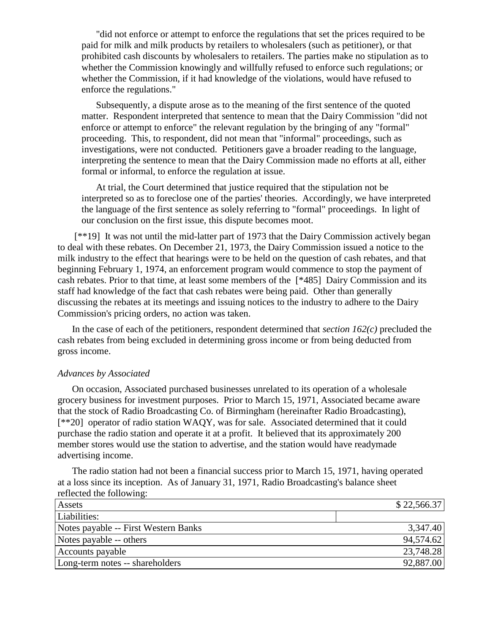"did not enforce or attempt to enforce the regulations that set the prices required to be paid for milk and milk products by retailers to wholesalers (such as petitioner), or that prohibited cash discounts by wholesalers to retailers. The parties make no stipulation as to whether the Commission knowingly and willfully refused to enforce such regulations; or whether the Commission, if it had knowledge of the violations, would have refused to enforce the regulations."

Subsequently, a dispute arose as to the meaning of the first sentence of the quoted matter. Respondent interpreted that sentence to mean that the Dairy Commission "did not enforce or attempt to enforce" the relevant regulation by the bringing of any "formal" proceeding. This, to respondent, did not mean that "informal" proceedings, such as investigations, were not conducted. Petitioners gave a broader reading to the language, interpreting the sentence to mean that the Dairy Commission made no efforts at all, either formal or informal, to enforce the regulation at issue.

At trial, the Court determined that justice required that the stipulation not be interpreted so as to foreclose one of the parties' theories. Accordingly, we have interpreted the language of the first sentence as solely referring to "formal" proceedings. In light of our conclusion on the first issue, this dispute becomes moot.

[\*\*19] It was not until the mid-latter part of 1973 that the Dairy Commission actively began to deal with these rebates. On December 21, 1973, the Dairy Commission issued a notice to the milk industry to the effect that hearings were to be held on the question of cash rebates, and that beginning February 1, 1974, an enforcement program would commence to stop the payment of cash rebates. Prior to that time, at least some members of the [\*485] Dairy Commission and its staff had knowledge of the fact that cash rebates were being paid. Other than generally discussing the rebates at its meetings and issuing notices to the industry to adhere to the Dairy Commission's pricing orders, no action was taken.

In the case of each of the petitioners, respondent determined that *section 162(c)* precluded the cash rebates from being excluded in determining gross income or from being deducted from gross income.

### *Advances by Associated*

On occasion, Associated purchased businesses unrelated to its operation of a wholesale grocery business for investment purposes. Prior to March 15, 1971, Associated became aware that the stock of Radio Broadcasting Co. of Birmingham (hereinafter Radio Broadcasting), [\*\*20] operator of radio station WAQY, was for sale. Associated determined that it could purchase the radio station and operate it at a profit. It believed that its approximately 200 member stores would use the station to advertise, and the station would have readymade advertising income.

The radio station had not been a financial success prior to March 15, 1971, having operated at a loss since its inception. As of January 31, 1971, Radio Broadcasting's balance sheet reflected the following:

| Assets                               | \$22,566.37 |
|--------------------------------------|-------------|
| Liabilities:                         |             |
| Notes payable -- First Western Banks | 3,347.40    |
| Notes payable -- others              | 94,574.62   |
| Accounts payable                     | 23,748.28   |
| Long-term notes -- shareholders      | 92,887.00   |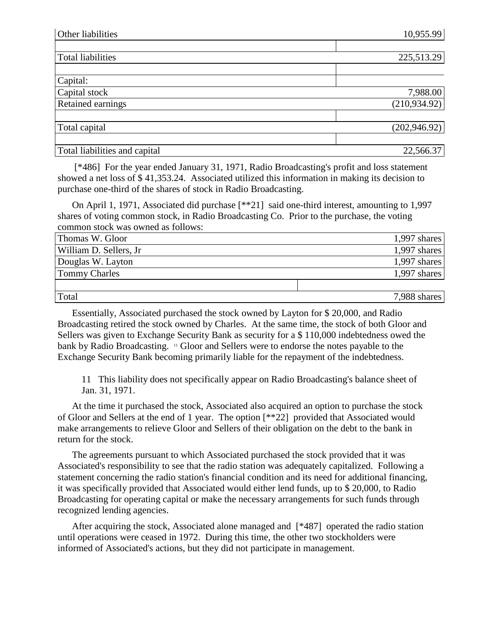| Other liabilities             | 10,955.99     |
|-------------------------------|---------------|
|                               |               |
| <b>Total liabilities</b>      | 225,513.29    |
|                               |               |
| Capital:                      |               |
| Capital stock                 | 7,988.00      |
| Retained earnings             | (210,934.92)  |
|                               |               |
| Total capital                 | (202, 946.92) |
|                               |               |
| Total liabilities and capital | 22,566.37     |

[\*486] For the year ended January 31, 1971, Radio Broadcasting's profit and loss statement showed a net loss of \$ 41,353.24. Associated utilized this information in making its decision to purchase one-third of the shares of stock in Radio Broadcasting.

On April 1, 1971, Associated did purchase [\*\*21] said one-third interest, amounting to 1,997 shares of voting common stock, in Radio Broadcasting Co. Prior to the purchase, the voting common stock was owned as follows:

| Thomas W. Gloor        | 1,997 shares |
|------------------------|--------------|
| William D. Sellers, Jr | 1,997 shares |
| Douglas W. Layton      | 1,997 shares |
| <b>Tommy Charles</b>   | 1,997 shares |
|                        |              |
| Total                  | 7,988 shares |

Essentially, Associated purchased the stock owned by Layton for \$ 20,000, and Radio Broadcasting retired the stock owned by Charles. At the same time, the stock of both Gloor and Sellers was given to Exchange Security Bank as security for a \$ 110,000 indebtedness owed the bank by Radio Broadcasting. <sup>11</sup> Gloor and Sellers were to endorse the notes payable to the Exchange Security Bank becoming primarily liable for the repayment of the indebtedness.

11 This liability does not specifically appear on Radio Broadcasting's balance sheet of Jan. 31, 1971.

At the time it purchased the stock, Associated also acquired an option to purchase the stock of Gloor and Sellers at the end of 1 year. The option [\*\*22] provided that Associated would make arrangements to relieve Gloor and Sellers of their obligation on the debt to the bank in return for the stock.

The agreements pursuant to which Associated purchased the stock provided that it was Associated's responsibility to see that the radio station was adequately capitalized. Following a statement concerning the radio station's financial condition and its need for additional financing, it was specifically provided that Associated would either lend funds, up to \$ 20,000, to Radio Broadcasting for operating capital or make the necessary arrangements for such funds through recognized lending agencies.

After acquiring the stock, Associated alone managed and [\*487] operated the radio station until operations were ceased in 1972. During this time, the other two stockholders were informed of Associated's actions, but they did not participate in management.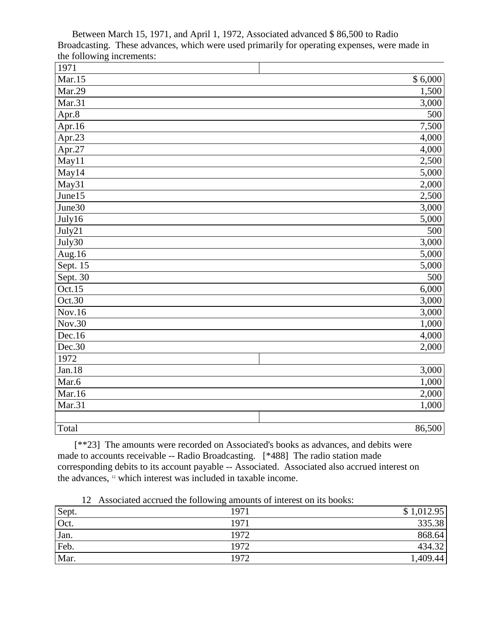| 1971       |         |
|------------|---------|
| Mar.15     | \$6,000 |
| Mar.29     | 1,500   |
| Mar.31     | 3,000   |
| Apr. $8$   | 500     |
| Apr.16     | 7,500   |
| Apr.23     | 4,000   |
| Apr.27     | 4,000   |
| May11      | 2,500   |
| May14      | 5,000   |
| May31      | 2,000   |
| June15     | 2,500   |
| June30     | 3,000   |
| July16     | 5,000   |
| July21     | 500     |
| July30     | 3,000   |
| Aug.16     | 5,000   |
| Sept. 15   | 5,000   |
| Sept. $30$ | 500     |
| Oct.15     | 6,000   |
| Oct.30     | 3,000   |
| Nov.16     | 3,000   |
| Nov.30     | 1,000   |
| Dec.16     | 4,000   |
| Dec.30     | 2,000   |
| 1972       |         |
| Jan.18     | 3,000   |
| Mar.6      | 1,000   |
| Mar.16     | 2,000   |
| Mar.31     | 1,000   |
|            |         |
| Total      | 86,500  |

Between March 15, 1971, and April 1, 1972, Associated advanced \$ 86,500 to Radio Broadcasting. These advances, which were used primarily for operating expenses, were made in the following increments:

[\*\*23] The amounts were recorded on Associated's books as advances, and debits were made to accounts receivable -- Radio Broadcasting. [\*488] The radio station made corresponding debits to its account payable -- Associated. Associated also accrued interest on the advances, <sup>12</sup> which interest was included in taxable income.

|  | 12 Associated accrued the following amounts of interest on its books: |  |  |  |  |  |  |  |  |  |  |
|--|-----------------------------------------------------------------------|--|--|--|--|--|--|--|--|--|--|
|--|-----------------------------------------------------------------------|--|--|--|--|--|--|--|--|--|--|

| Sept. | $\tilde{\phantom{a}}$<br>1971 | \$1,012.95 |
|-------|-------------------------------|------------|
| Oct.  | 1971                          | 335.38     |
| Jan.  | 1972                          | 868.64     |
| Feb.  | 1972                          | 434.32     |
| Mar.  | 1972                          | 1,409.44   |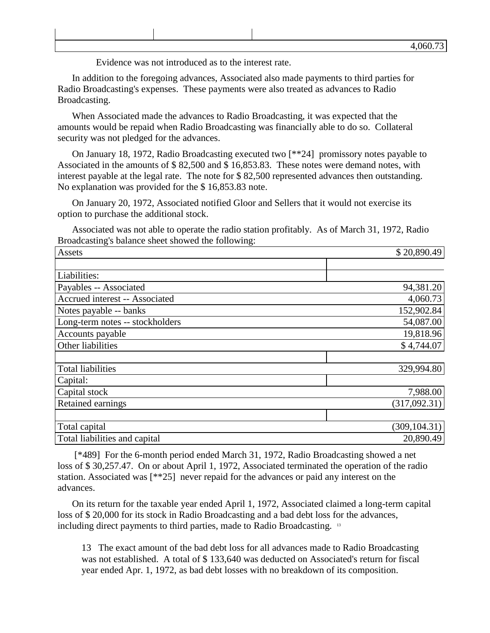Evidence was not introduced as to the interest rate.

In addition to the foregoing advances, Associated also made payments to third parties for Radio Broadcasting's expenses. These payments were also treated as advances to Radio Broadcasting.

When Associated made the advances to Radio Broadcasting, it was expected that the amounts would be repaid when Radio Broadcasting was financially able to do so. Collateral security was not pledged for the advances.

On January 18, 1972, Radio Broadcasting executed two [\*\*24] promissory notes payable to Associated in the amounts of \$ 82,500 and \$ 16,853.83. These notes were demand notes, with interest payable at the legal rate. The note for \$ 82,500 represented advances then outstanding. No explanation was provided for the \$ 16,853.83 note.

On January 20, 1972, Associated notified Gloor and Sellers that it would not exercise its option to purchase the additional stock.

Associated was not able to operate the radio station profitably. As of March 31, 1972, Radio Broadcasting's balance sheet showed the following:

| Assets                          | \$20,890.49   |  |  |  |
|---------------------------------|---------------|--|--|--|
|                                 |               |  |  |  |
| Liabilities:                    |               |  |  |  |
| Payables -- Associated          | 94,381.20     |  |  |  |
| Accrued interest -- Associated  | 4,060.73      |  |  |  |
| Notes payable -- banks          | 152,902.84    |  |  |  |
| Long-term notes -- stockholders | 54,087.00     |  |  |  |
| Accounts payable                | 19,818.96     |  |  |  |
| Other liabilities               | \$4,744.07    |  |  |  |
|                                 |               |  |  |  |
| <b>Total liabilities</b>        | 329,994.80    |  |  |  |
| Capital:                        |               |  |  |  |
| Capital stock                   | 7,988.00      |  |  |  |
| <b>Retained earnings</b>        | (317,092.31)  |  |  |  |
|                                 |               |  |  |  |
| Total capital                   | (309, 104.31) |  |  |  |
| Total liabilities and capital   | 20,890.49     |  |  |  |

[\*489] For the 6-month period ended March 31, 1972, Radio Broadcasting showed a net loss of \$ 30,257.47. On or about April 1, 1972, Associated terminated the operation of the radio station. Associated was [\*\*25] never repaid for the advances or paid any interest on the advances.

On its return for the taxable year ended April 1, 1972, Associated claimed a long-term capital loss of \$ 20,000 for its stock in Radio Broadcasting and a bad debt loss for the advances, including direct payments to third parties, made to Radio Broadcasting. <sup>13</sup>

13 The exact amount of the bad debt loss for all advances made to Radio Broadcasting was not established. A total of \$ 133,640 was deducted on Associated's return for fiscal year ended Apr. 1, 1972, as bad debt losses with no breakdown of its composition.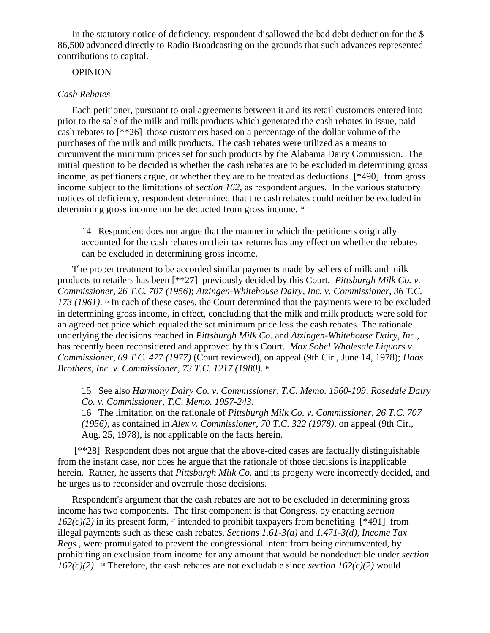In the statutory notice of deficiency, respondent disallowed the bad debt deduction for the \$ 86,500 advanced directly to Radio Broadcasting on the grounds that such advances represented contributions to capital.

# **OPINION**

### *Cash Rebates*

Each petitioner, pursuant to oral agreements between it and its retail customers entered into prior to the sale of the milk and milk products which generated the cash rebates in issue, paid cash rebates to [\*\*26] those customers based on a percentage of the dollar volume of the purchases of the milk and milk products. The cash rebates were utilized as a means to circumvent the minimum prices set for such products by the Alabama Dairy Commission. The initial question to be decided is whether the cash rebates are to be excluded in determining gross income, as petitioners argue, or whether they are to be treated as deductions [\*490] from gross income subject to the limitations of *section 162*, as respondent argues. In the various statutory notices of deficiency, respondent determined that the cash rebates could neither be excluded in determining gross income nor be deducted from gross income. <sup>14</sup>

14 Respondent does not argue that the manner in which the petitioners originally accounted for the cash rebates on their tax returns has any effect on whether the rebates can be excluded in determining gross income.

The proper treatment to be accorded similar payments made by sellers of milk and milk products to retailers has been [\*\*27] previously decided by this Court. *Pittsburgh Milk Co. v. Commissioner, 26 T.C. 707 (1956)*; *Atzingen-Whitehouse Dairy, Inc. v. Commissioner, 36 T.C.*  173 (1961). <sup>15</sup> In each of these cases, the Court determined that the payments were to be excluded in determining gross income, in effect, concluding that the milk and milk products were sold for an agreed net price which equaled the set minimum price less the cash rebates. The rationale underlying the decisions reached in *Pittsburgh Milk Co*. and *Atzingen-Whitehouse Dairy, Inc*., has recently been reconsidered and approved by this Court. *Max Sobel Wholesale Liquors v. Commissioner, 69 T.C. 477 (1977)* (Court reviewed), on appeal (9th Cir., June 14, 1978); *Haas Brothers, Inc. v. Commissioner, 73 T.C. 1217 (1980)*. 16

15 See also *Harmony Dairy Co. v. Commissioner, T.C. Memo. 1960-109*; *Rosedale Dairy Co. v. Commissioner, T.C. Memo. 1957-243*.

16 The limitation on the rationale of *Pittsburgh Milk Co. v. Commissioner, 26 T.C. 707 (1956)*, as contained in *Alex v. Commissioner, 70 T.C. 322 (1978)*, on appeal (9th Cir., Aug. 25, 1978), is not applicable on the facts herein.

[\*\*28] Respondent does not argue that the above-cited cases are factually distinguishable from the instant case, nor does he argue that the rationale of those decisions is inapplicable herein. Rather, he asserts that *Pittsburgh Milk Co*. and its progeny were incorrectly decided, and he urges us to reconsider and overrule those decisions.

Respondent's argument that the cash rebates are not to be excluded in determining gross income has two components. The first component is that Congress, by enacting *section*   $162(c)(2)$  in its present form, <sup>17</sup> intended to prohibit taxpayers from benefiting [\*491] from illegal payments such as these cash rebates. *Sections 1.61-3(a)* and *1.471-3(d), Income Tax Regs.*, were promulgated to prevent the congressional intent from being circumvented, by prohibiting an exclusion from income for any amount that would be nondeductible under *section*   $162(c)(2)$ . <sup>18</sup> Therefore, the cash rebates are not excludable since *section*  $162(c)(2)$  would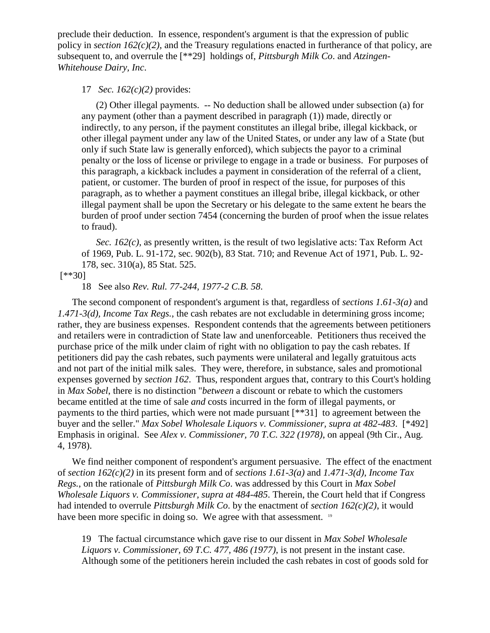preclude their deduction. In essence, respondent's argument is that the expression of public policy in *section 162(c)(2)*, and the Treasury regulations enacted in furtherance of that policy, are subsequent to, and overrule the [\*\*29] holdings of, *Pittsburgh Milk Co*. and *Atzingen-Whitehouse Dairy, Inc*.

# 17 *Sec. 162(c)(2)* provides:

(2) Other illegal payments. -- No deduction shall be allowed under subsection (a) for any payment (other than a payment described in paragraph (1)) made, directly or indirectly, to any person, if the payment constitutes an illegal bribe, illegal kickback, or other illegal payment under any law of the United States, or under any law of a State (but only if such State law is generally enforced), which subjects the payor to a criminal penalty or the loss of license or privilege to engage in a trade or business. For purposes of this paragraph, a kickback includes a payment in consideration of the referral of a client, patient, or customer. The burden of proof in respect of the issue, for purposes of this paragraph, as to whether a payment constitues an illegal bribe, illegal kickback, or other illegal payment shall be upon the Secretary or his delegate to the same extent he bears the burden of proof under section 7454 (concerning the burden of proof when the issue relates to fraud).

*Sec. 162(c)*, as presently written, is the result of two legislative acts: Tax Reform Act of 1969, Pub. L. 91-172, sec. 902(b), 83 Stat. 710; and Revenue Act of 1971, Pub. L. 92- 178, sec. 310(a), 85 Stat. 525.

### [\*\*30]

18 See also *Rev. Rul. 77-244, 1977-2 C.B. 58*.

The second component of respondent's argument is that, regardless of *sections 1.61-3(a)* and *1.471-3(d), Income Tax Regs.*, the cash rebates are not excludable in determining gross income; rather, they are business expenses. Respondent contends that the agreements between petitioners and retailers were in contradiction of State law and unenforceable. Petitioners thus received the purchase price of the milk under claim of right with no obligation to pay the cash rebates. If petitioners did pay the cash rebates, such payments were unilateral and legally gratuitous acts and not part of the initial milk sales. They were, therefore, in substance, sales and promotional expenses governed by *section 162*. Thus, respondent argues that, contrary to this Court's holding in *Max Sobel*, there is no distinction "*between* a discount or rebate to which the customers became entitled at the time of sale *and* costs incurred in the form of illegal payments, or payments to the third parties, which were not made pursuant [\*\*31] to agreement between the buyer and the seller." *Max Sobel Wholesale Liquors v. Commissioner, supra at 482-483*. [\*492] Emphasis in original. See *Alex v. Commissioner, 70 T.C. 322 (1978)*, on appeal (9th Cir., Aug. 4, 1978).

We find neither component of respondent's argument persuasive. The effect of the enactment of *section 162(c)(2)* in its present form and of *sections 1.61-3(a)* and *1.471-3(d), Income Tax Regs.*, on the rationale of *Pittsburgh Milk Co*. was addressed by this Court in *Max Sobel Wholesale Liquors v. Commissioner, supra at 484-485*. Therein, the Court held that if Congress had intended to overrule *Pittsburgh Milk Co*. by the enactment of *section 162(c)(2)*, it would have been more specific in doing so. We agree with that assessment. <sup>19</sup>

19 The factual circumstance which gave rise to our dissent in *Max Sobel Wholesale Liquors v. Commissioner, 69 T.C. 477, 486 (1977)*, is not present in the instant case. Although some of the petitioners herein included the cash rebates in cost of goods sold for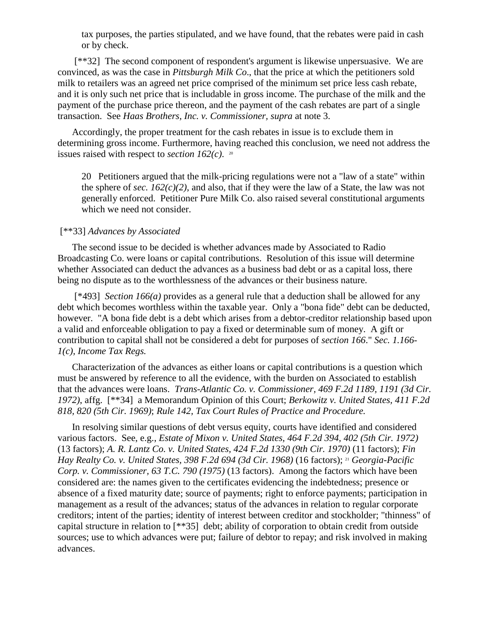tax purposes, the parties stipulated, and we have found, that the rebates were paid in cash or by check.

[\*\*32] The second component of respondent's argument is likewise unpersuasive. We are convinced, as was the case in *Pittsburgh Milk Co*., that the price at which the petitioners sold milk to retailers was an agreed net price comprised of the minimum set price less cash rebate, and it is only such net price that is includable in gross income. The purchase of the milk and the payment of the purchase price thereon, and the payment of the cash rebates are part of a single transaction. See *Haas Brothers, Inc. v. Commissioner, supra* at note 3.

Accordingly, the proper treatment for the cash rebates in issue is to exclude them in determining gross income. Furthermore, having reached this conclusion, we need not address the issues raised with respect to *section 162(c)*. 20

20 Petitioners argued that the milk-pricing regulations were not a "law of a state" within the sphere of *sec. 162(c)(2)*, and also, that if they were the law of a State, the law was not generally enforced. Petitioner Pure Milk Co. also raised several constitutional arguments which we need not consider.

### [\*\*33] *Advances by Associated*

The second issue to be decided is whether advances made by Associated to Radio Broadcasting Co. were loans or capital contributions. Resolution of this issue will determine whether Associated can deduct the advances as a business bad debt or as a capital loss, there being no dispute as to the worthlessness of the advances or their business nature.

[\*493] *Section 166(a)* provides as a general rule that a deduction shall be allowed for any debt which becomes worthless within the taxable year. Only a "bona fide" debt can be deducted, however. "A bona fide debt is a debt which arises from a debtor-creditor relationship based upon a valid and enforceable obligation to pay a fixed or determinable sum of money. A gift or contribution to capital shall not be considered a debt for purposes of *section 166*." *Sec. 1.166- 1(c), Income Tax Regs.*

Characterization of the advances as either loans or capital contributions is a question which must be answered by reference to all the evidence, with the burden on Associated to establish that the advances were loans. *Trans-Atlantic Co. v. Commissioner, 469 F.2d 1189, 1191 (3d Cir. 1972)*, affg. [\*\*34] a Memorandum Opinion of this Court; *Berkowitz v. United States, 411 F.2d 818, 820 (5th Cir. 1969)*; *Rule 142, Tax Court Rules of Practice and Procedure.*

In resolving similar questions of debt versus equity, courts have identified and considered various factors. See, e.g., *Estate of Mixon v. United States, 464 F.2d 394, 402 (5th Cir. 1972)* (13 factors); *A. R. Lantz Co. v. United States, 424 F.2d 1330 (9th Cir. 1970)* (11 factors); *Fin Hay Realty Co. v. United States, 398 F.2d 694 (3d Cir. 1968)* (16 factors); <sup>21</sup> *Georgia-Pacific Corp. v. Commissioner, 63 T.C. 790 (1975)* (13 factors). Among the factors which have been considered are: the names given to the certificates evidencing the indebtedness; presence or absence of a fixed maturity date; source of payments; right to enforce payments; participation in management as a result of the advances; status of the advances in relation to regular corporate creditors; intent of the parties; identity of interest between creditor and stockholder; "thinness" of capital structure in relation to [\*\*35] debt; ability of corporation to obtain credit from outside sources; use to which advances were put; failure of debtor to repay; and risk involved in making advances.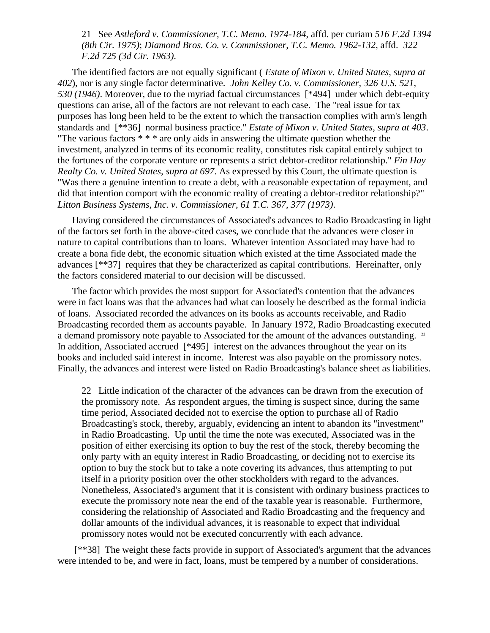21 See *Astleford v. Commissioner, T.C. Memo. 1974-184*, affd. per curiam *516 F.2d 1394 (8th Cir. 1975)*; *Diamond Bros. Co. v. Commissioner, T.C. Memo. 1962-132*, affd. *322 F.2d 725 (3d Cir. 1963)*.

The identified factors are not equally significant ( *Estate of Mixon v. United States, supra at 402*), nor is any single factor determinative. *John Kelley Co. v. Commissioner, 326 U.S. 521, 530 (1946)*. Moreover, due to the myriad factual circumstances [\*494] under which debt-equity questions can arise, all of the factors are not relevant to each case. The "real issue for tax purposes has long been held to be the extent to which the transaction complies with arm's length standards and [\*\*36] normal business practice." *Estate of Mixon v. United States, supra at 403*. "The various factors \* \* \* are only aids in answering the ultimate question whether the investment, analyzed in terms of its economic reality, constitutes risk capital entirely subject to the fortunes of the corporate venture or represents a strict debtor-creditor relationship." *Fin Hay Realty Co. v. United States, supra at 697*. As expressed by this Court, the ultimate question is "Was there a genuine intention to create a debt, with a reasonable expectation of repayment, and did that intention comport with the economic reality of creating a debtor-creditor relationship?" *Litton Business Systems, Inc. v. Commissioner, 61 T.C. 367, 377 (1973)*.

Having considered the circumstances of Associated's advances to Radio Broadcasting in light of the factors set forth in the above-cited cases, we conclude that the advances were closer in nature to capital contributions than to loans. Whatever intention Associated may have had to create a bona fide debt, the economic situation which existed at the time Associated made the advances [\*\*37] requires that they be characterized as capital contributions. Hereinafter, only the factors considered material to our decision will be discussed.

The factor which provides the most support for Associated's contention that the advances were in fact loans was that the advances had what can loosely be described as the formal indicia of loans. Associated recorded the advances on its books as accounts receivable, and Radio Broadcasting recorded them as accounts payable. In January 1972, Radio Broadcasting executed a demand promissory note payable to Associated for the amount of the advances outstanding. <sup>22</sup> In addition, Associated accrued [\*495] interest on the advances throughout the year on its books and included said interest in income. Interest was also payable on the promissory notes. Finally, the advances and interest were listed on Radio Broadcasting's balance sheet as liabilities.

22 Little indication of the character of the advances can be drawn from the execution of the promissory note. As respondent argues, the timing is suspect since, during the same time period, Associated decided not to exercise the option to purchase all of Radio Broadcasting's stock, thereby, arguably, evidencing an intent to abandon its "investment" in Radio Broadcasting. Up until the time the note was executed, Associated was in the position of either exercising its option to buy the rest of the stock, thereby becoming the only party with an equity interest in Radio Broadcasting, or deciding not to exercise its option to buy the stock but to take a note covering its advances, thus attempting to put itself in a priority position over the other stockholders with regard to the advances. Nonetheless, Associated's argument that it is consistent with ordinary business practices to execute the promissory note near the end of the taxable year is reasonable. Furthermore, considering the relationship of Associated and Radio Broadcasting and the frequency and dollar amounts of the individual advances, it is reasonable to expect that individual promissory notes would not be executed concurrently with each advance.

[\*\*38] The weight these facts provide in support of Associated's argument that the advances were intended to be, and were in fact, loans, must be tempered by a number of considerations.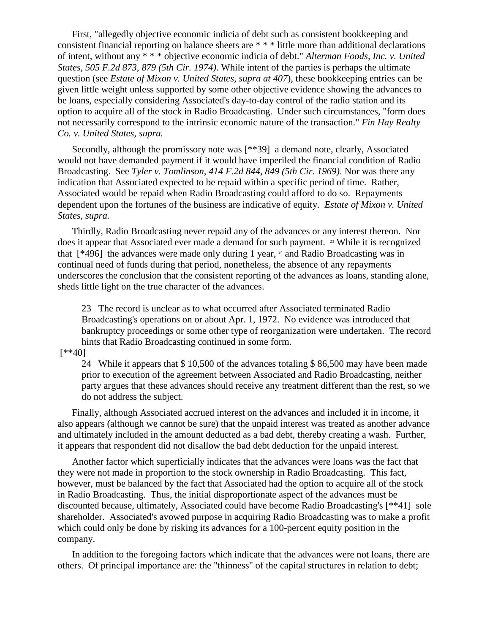First, "allegedly objective economic indicia of debt such as consistent bookkeeping and consistent financial reporting on balance sheets are \* \* \* little more than additional declarations of intent, without any \* \* \* objective economic indicia of debt." *Alterman Foods, Inc. v. United States, 505 F.2d 873, 879 (5th Cir. 1974)*. While intent of the parties is perhaps the ultimate question (see *Estate of Mixon v. United States, supra at 407*), these bookkeeping entries can be given little weight unless supported by some other objective evidence showing the advances to be loans, especially considering Associated's day-to-day control of the radio station and its option to acquire all of the stock in Radio Broadcasting. Under such circumstances, "form does not necessarily correspond to the intrinsic economic nature of the transaction." *Fin Hay Realty Co. v. United States, supra.*

Secondly, although the promissory note was [\*\*39] a demand note, clearly, Associated would not have demanded payment if it would have imperiled the financial condition of Radio Broadcasting. See *Tyler v. Tomlinson, 414 F.2d 844, 849 (5th Cir. 1969)*. Nor was there any indication that Associated expected to be repaid within a specific period of time. Rather, Associated would be repaid when Radio Broadcasting could afford to do so. Repayments dependent upon the fortunes of the business are indicative of equity. *Estate of Mixon v. United States, supra.*

Thirdly, Radio Broadcasting never repaid any of the advances or any interest thereon. Nor does it appear that Associated ever made a demand for such payment. <sup>23</sup> While it is recognized that  $[496]$  the advances were made only during 1 year,  $24$  and Radio Broadcasting was in continual need of funds during that period, nonetheless, the absence of any repayments underscores the conclusion that the consistent reporting of the advances as loans, standing alone, sheds little light on the true character of the advances.

23 The record is unclear as to what occurred after Associated terminated Radio Broadcasting's operations on or about Apr. 1, 1972. No evidence was introduced that bankruptcy proceedings or some other type of reorganization were undertaken. The record hints that Radio Broadcasting continued in some form.

[\*\*40]

24 While it appears that \$ 10,500 of the advances totaling \$ 86,500 may have been made prior to execution of the agreement between Associated and Radio Broadcasting, neither party argues that these advances should receive any treatment different than the rest, so we do not address the subject.

Finally, although Associated accrued interest on the advances and included it in income, it also appears (although we cannot be sure) that the unpaid interest was treated as another advance and ultimately included in the amount deducted as a bad debt, thereby creating a wash. Further, it appears that respondent did not disallow the bad debt deduction for the unpaid interest.

Another factor which superficially indicates that the advances were loans was the fact that they were not made in proportion to the stock ownership in Radio Broadcasting. This fact, however, must be balanced by the fact that Associated had the option to acquire all of the stock in Radio Broadcasting. Thus, the initial disproportionate aspect of the advances must be discounted because, ultimately, Associated could have become Radio Broadcasting's [\*\*41] sole shareholder. Associated's avowed purpose in acquiring Radio Broadcasting was to make a profit which could only be done by risking its advances for a 100-percent equity position in the company.

In addition to the foregoing factors which indicate that the advances were not loans, there are others. Of principal importance are: the "thinness" of the capital structures in relation to debt;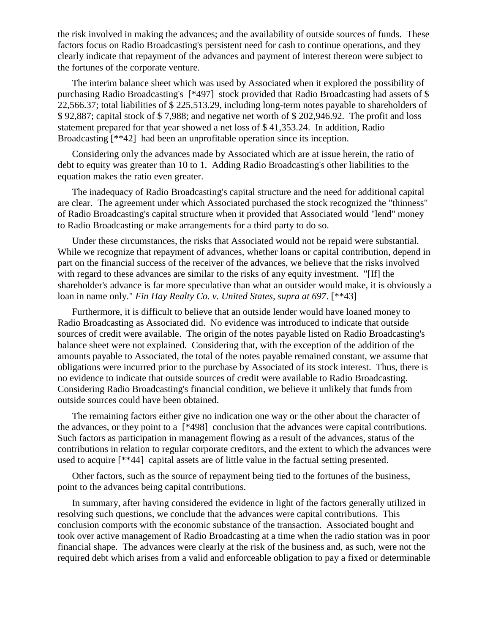the risk involved in making the advances; and the availability of outside sources of funds. These factors focus on Radio Broadcasting's persistent need for cash to continue operations, and they clearly indicate that repayment of the advances and payment of interest thereon were subject to the fortunes of the corporate venture.

The interim balance sheet which was used by Associated when it explored the possibility of purchasing Radio Broadcasting's [\*497] stock provided that Radio Broadcasting had assets of \$ 22,566.37; total liabilities of \$ 225,513.29, including long-term notes payable to shareholders of \$ 92,887; capital stock of \$ 7,988; and negative net worth of \$ 202,946.92. The profit and loss statement prepared for that year showed a net loss of \$ 41,353.24. In addition, Radio Broadcasting [\*\*42] had been an unprofitable operation since its inception.

Considering only the advances made by Associated which are at issue herein, the ratio of debt to equity was greater than 10 to 1. Adding Radio Broadcasting's other liabilities to the equation makes the ratio even greater.

The inadequacy of Radio Broadcasting's capital structure and the need for additional capital are clear. The agreement under which Associated purchased the stock recognized the "thinness" of Radio Broadcasting's capital structure when it provided that Associated would "lend" money to Radio Broadcasting or make arrangements for a third party to do so.

Under these circumstances, the risks that Associated would not be repaid were substantial. While we recognize that repayment of advances, whether loans or capital contribution, depend in part on the financial success of the receiver of the advances, we believe that the risks involved with regard to these advances are similar to the risks of any equity investment. "[If] the shareholder's advance is far more speculative than what an outsider would make, it is obviously a loan in name only." *Fin Hay Realty Co. v. United States, supra at 697*. [\*\*43]

Furthermore, it is difficult to believe that an outside lender would have loaned money to Radio Broadcasting as Associated did. No evidence was introduced to indicate that outside sources of credit were available. The origin of the notes payable listed on Radio Broadcasting's balance sheet were not explained. Considering that, with the exception of the addition of the amounts payable to Associated, the total of the notes payable remained constant, we assume that obligations were incurred prior to the purchase by Associated of its stock interest. Thus, there is no evidence to indicate that outside sources of credit were available to Radio Broadcasting. Considering Radio Broadcasting's financial condition, we believe it unlikely that funds from outside sources could have been obtained.

The remaining factors either give no indication one way or the other about the character of the advances, or they point to a [\*498] conclusion that the advances were capital contributions. Such factors as participation in management flowing as a result of the advances, status of the contributions in relation to regular corporate creditors, and the extent to which the advances were used to acquire [\*\*44] capital assets are of little value in the factual setting presented.

Other factors, such as the source of repayment being tied to the fortunes of the business, point to the advances being capital contributions.

In summary, after having considered the evidence in light of the factors generally utilized in resolving such questions, we conclude that the advances were capital contributions. This conclusion comports with the economic substance of the transaction. Associated bought and took over active management of Radio Broadcasting at a time when the radio station was in poor financial shape. The advances were clearly at the risk of the business and, as such, were not the required debt which arises from a valid and enforceable obligation to pay a fixed or determinable